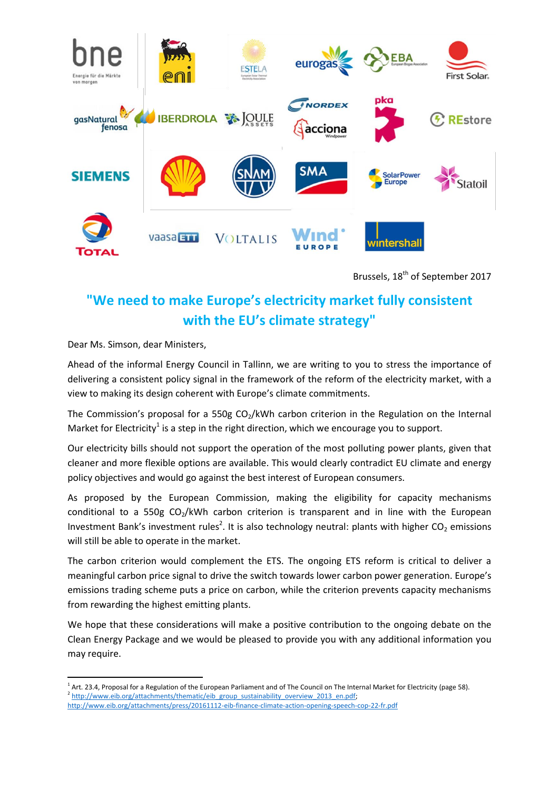

Brussels, 18<sup>th</sup> of September 2017

## **"We need to make Europe's electricity market fully consistent with the EU's climate strategy"**

Dear Ms. Simson, dear Ministers,

 $\overline{a}$ 

Ahead of the informal Energy Council in Tallinn, we are writing to you to stress the importance of delivering a consistent policy signal in the framework of the reform of the electricity market, with a view to making its design coherent with Europe's climate commitments.

The Commission's proposal for a 550g  $CO<sub>2</sub>/kWh$  carbon criterion in the Regulation on the Internal Market for Electricity<sup>1</sup> is a step in the right direction, which we encourage you to support.

Our electricity bills should not support the operation of the most polluting power plants, given that cleaner and more flexible options are available. This would clearly contradict EU climate and energy policy objectives and would go against the best interest of European consumers.

As proposed by the European Commission, making the eligibility for capacity mechanisms conditional to a 550g  $CO<sub>2</sub>/kWh$  carbon criterion is transparent and in line with the European Investment Bank's investment rules<sup>2</sup>. It is also technology neutral: plants with higher CO<sub>2</sub> emissions will still be able to operate in the market.

The carbon criterion would complement the ETS. The ongoing ETS reform is critical to deliver a meaningful carbon price signal to drive the switch towards lower carbon power generation. Europe's emissions trading scheme puts a price on carbon, while the criterion prevents capacity mechanisms from rewarding the highest emitting plants.

We hope that these considerations will make a positive contribution to the ongoing debate on the Clean Energy Package and we would be pleased to provide you with any additional information you may require.

<sup>&</sup>lt;sup>1</sup> [Art. 23.4, Proposal for a Regulation of the European Parliament and of The Council on The Internal Market for Electricity](http://eur-lex.europa.eu/resource.html?uri=cellar:9b9d9035-fa9e-11e6-8a35-01aa75ed71a1.0012.02/DOC_1&format=PDF) (page 58). <sup>2</sup> http://www.eib.org/attachments/thematic/eib\_group\_sustainability\_overview\_2013\_en.pdf; <http://www.eib.org/attachments/press/20161112-eib-finance-climate-action-opening-speech-cop-22-fr.pdf>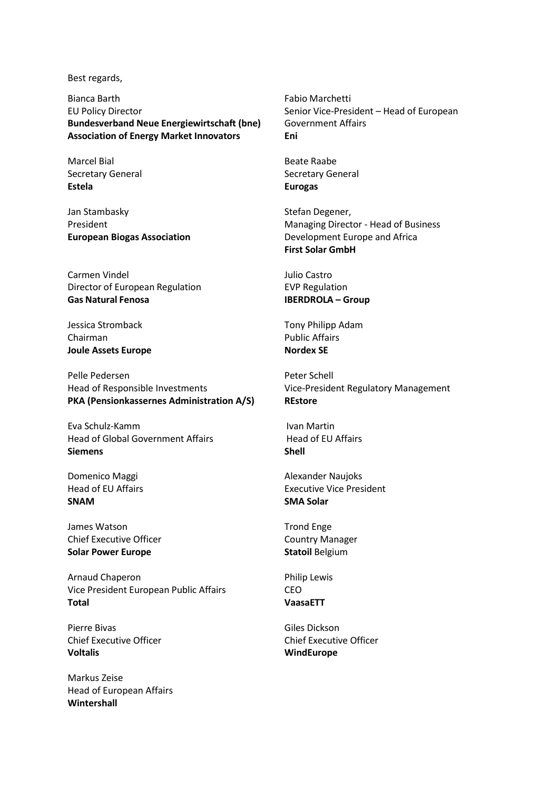Best regards,

Bianca Barth EU Policy Director **Bundesverband Neue Energiewirtschaft (bne) Association of Energy Market Innovators**

Marcel Bial Secretary General **Estela**

Jan Stambasky President **European Biogas Association**

Carmen Vindel Director of European Regulation **Gas Natural Fenosa**

Jessica Stromback Chairman **Joule Assets Europe**

Pelle Pedersen Head of Responsible Investments **PKA (Pensionkassernes Administration A/S)**

Eva Schulz-Kamm Head of Global Government Affairs **Siemens**

Domenico Maggi Head of EU Affairs **SNAM**

James Watson Chief Executive Officer **Solar Power Europe**

Arnaud Chaperon Vice President European Public Affairs **Total**

Pierre Bivas Chief Executive Officer **Voltalis**

Markus Zeise Head of European Affairs **Wintershall**

Fabio Marchetti Senior Vice-President – Head of European Government Affairs **Eni**

Beate Raabe Secretary General **Eurogas**

Stefan Degener, Managing Director - Head of Business Development Europe and Africa **First Solar GmbH**

Julio Castro EVP Regulation **IBERDROLA – Group**

Tony Philipp Adam Public Affairs **Nordex SE**

Peter Schell Vice-President Regulatory Management **REstore**

Ivan Martin Head of EU Affairs **Shell**

Alexander Naujoks Executive Vice President **SMA Solar**

Trond Enge Country Manager **Statoil** Belgium

Philip Lewis CEO **VaasaETT**

Giles Dickson Chief Executive Officer **WindEurope**